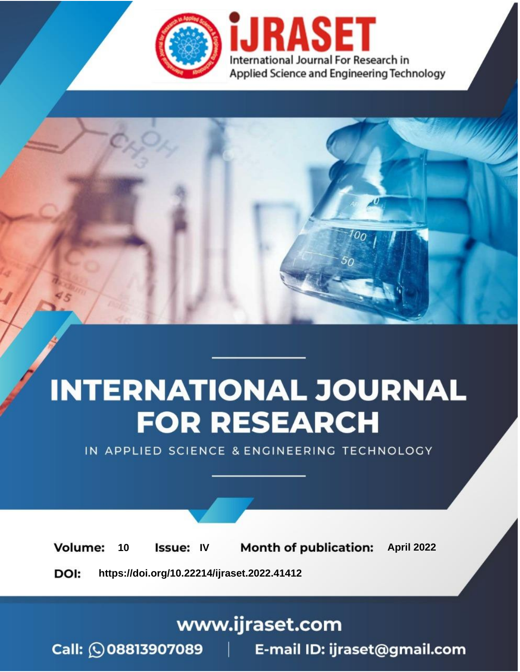

# **INTERNATIONAL JOURNAL FOR RESEARCH**

IN APPLIED SCIENCE & ENGINEERING TECHNOLOGY

Volume: 10 **Issue: IV Month of publication:** April 2022

**https://doi.org/10.22214/ijraset.2022.41412**DOI:

www.ijraset.com

Call: 008813907089 | E-mail ID: ijraset@gmail.com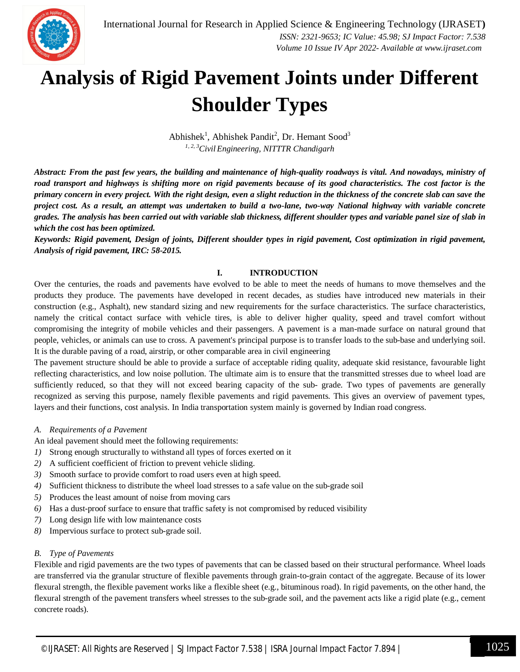

### **Analysis of Rigid Pavement Joints under Different Shoulder Types**

Abhishek<sup>1</sup>, Abhishek Pandit<sup>2</sup>, Dr. Hemant Sood<sup>3</sup> *1, 2, 3CivilEngineering, NITTTR Chandigarh*

*Abstract: From the past few years, the building and maintenance of high-quality roadways is vital. And nowadays, ministry of road transport and highways is shifting more on rigid pavements because of its good characteristics. The cost factor is the primary concern in every project. With the right design, even a slight reduction in the thickness of the concrete slab can save the project cost. As a result, an attempt was undertaken to build a two-lane, two-way National highway with variable concrete grades. The analysis has been carried out with variable slab thickness, different shoulder types and variable panel size of slab in which the cost has been optimized.* 

*Keywords: Rigid pavement, Design of joints, Different shoulder types in rigid pavement, Cost optimization in rigid pavement, Analysis of rigid pavement, IRC: 58-2015.*

#### **I. INTRODUCTION**

Over the centuries, the roads and pavements have evolved to be able to meet the needs of humans to move themselves and the products they produce. The pavements have developed in recent decades, as studies have introduced new materials in their construction (e.g., Asphalt), new standard sizing and new requirements for the surface characteristics. The surface characteristics, namely the critical contact surface with vehicle tires, is able to deliver higher quality, speed and travel comfort without compromising the integrity of mobile vehicles and their passengers. A pavement is a man-made surface on natural ground that people, vehicles, or animals can use to cross. A pavement's principal purpose is to transfer loads to the sub-base and underlying soil. It is the durable paving of a road, airstrip, or other comparable area in civil engineering

The pavement structure should be able to provide a surface of acceptable riding quality, adequate skid resistance, favourable light reflecting characteristics, and low noise pollution. The ultimate aim is to ensure that the transmitted stresses due to wheel load are sufficiently reduced, so that they will not exceed bearing capacity of the sub- grade. Two types of pavements are generally recognized as serving this purpose, namely flexible pavements and rigid pavements. This gives an overview of pavement types, layers and their functions, cost analysis. In India transportation system mainly is governed by Indian road congress.

#### *A. Requirements of a Pavement*

An ideal pavement should meet the following requirements:

- *1)* Strong enough structurally to withstand all types of forces exerted on it
- *2)* A sufficient coefficient of friction to prevent vehicle sliding.
- *3)* Smooth surface to provide comfort to road users even at high speed.
- *4)* Sufficient thickness to distribute the wheel load stresses to a safe value on the sub-grade soil
- *5)* Produces the least amount of noise from moving cars
- *6)* Has a dust-proof surface to ensure that traffic safety is not compromised by reduced visibility
- *7)* Long design life with low maintenance costs
- *8)* Impervious surface to protect sub-grade soil.

#### *B. Type of Pavements*

Flexible and rigid pavements are the two types of pavements that can be classed based on their structural performance. Wheel loads are transferred via the granular structure of flexible pavements through grain-to-grain contact of the aggregate. Because of its lower flexural strength, the flexible pavement works like a flexible sheet (e.g., bituminous road). In rigid pavements, on the other hand, the flexural strength of the pavement transfers wheel stresses to the sub-grade soil, and the pavement acts like a rigid plate (e.g., cement concrete roads).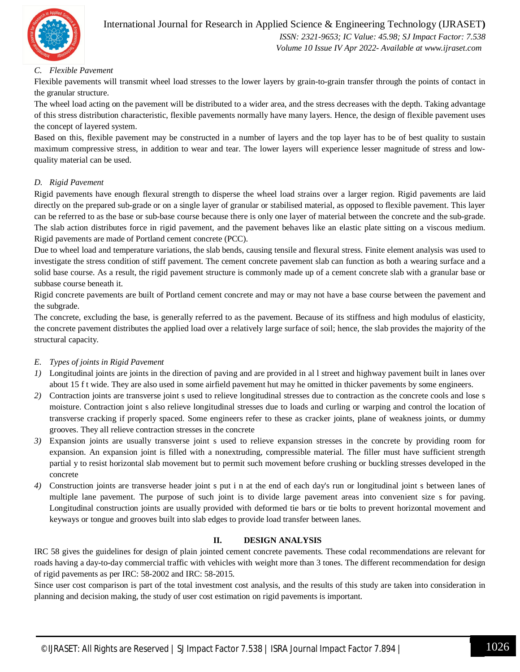

#### International Journal for Research in Applied Science & Engineering Technology (IJRASET**)**

 *ISSN: 2321-9653; IC Value: 45.98; SJ Impact Factor: 7.538 Volume 10 Issue IV Apr 2022- Available at www.ijraset.com*

#### *C. Flexible Pavement*

Flexible pavements will transmit wheel load stresses to the lower layers by grain-to-grain transfer through the points of contact in the granular structure.

The wheel load acting on the pavement will be distributed to a wider area, and the stress decreases with the depth. Taking advantage of this stress distribution characteristic, flexible pavements normally have many layers. Hence, the design of flexible pavement uses the concept of layered system.

Based on this, flexible pavement may be constructed in a number of layers and the top layer has to be of best quality to sustain maximum compressive stress, in addition to wear and tear. The lower layers will experience lesser magnitude of stress and lowquality material can be used.

#### *D. Rigid Pavement*

Rigid pavements have enough flexural strength to disperse the wheel load strains over a larger region. Rigid pavements are laid directly on the prepared sub-grade or on a single layer of granular or stabilised material, as opposed to flexible pavement. This layer can be referred to as the base or sub-base course because there is only one layer of material between the concrete and the sub-grade. The slab action distributes force in rigid pavement, and the pavement behaves like an elastic plate sitting on a viscous medium. Rigid pavements are made of Portland cement concrete (PCC).

Due to wheel load and temperature variations, the slab bends, causing tensile and flexural stress. Finite element analysis was used to investigate the stress condition of stiff pavement. The cement concrete pavement slab can function as both a wearing surface and a solid base course. As a result, the rigid pavement structure is commonly made up of a cement concrete slab with a granular base or subbase course beneath it.

Rigid concrete pavements are built of Portland cement concrete and may or may not have a base course between the pavement and the subgrade.

The concrete, excluding the base, is generally referred to as the pavement. Because of its stiffness and high modulus of elasticity, the concrete pavement distributes the applied load over a relatively large surface of soil; hence, the slab provides the majority of the structural capacity.

#### *E. Types of joints in Rigid Pavement*

- *1)* Longitudinal joints are joints in the direction of paving and are provided in all street and highway pavement built in lanes over about 15 f t wide. They are also used in some airfield pavement hut may he omitted in thicker pavements by some engineers.
- *2)* Contraction joints are transverse joint s used to relieve longitudinal stresses due to contraction as the concrete cools and lose s moisture. Contraction joint s also relieve longitudinal stresses due to loads and curling or warping and control the location of transverse cracking if properly spaced. Some engineers refer to these as cracker joints, plane of weakness joints, or dummy grooves. They all relieve contraction stresses in the concrete
- *3)* Expansion joints are usually transverse joint s used to relieve expansion stresses in the concrete by providing room for expansion. An expansion joint is filled with a nonextruding, compressible material. The filler must have sufficient strength partial y to resist horizontal slab movement but to permit such movement before crushing or buckling stresses developed in the concrete
- *4)* Construction joints are transverse header joint s put i n at the end of each day's run or longitudinal joint s between lanes of multiple lane pavement. The purpose of such joint is to divide large pavement areas into convenient size s for paving. Longitudinal construction joints are usually provided with deformed tie bars or tie bolts to prevent horizontal movement and keyways or tongue and grooves built into slab edges to provide load transfer between lanes.

#### **II. DESIGN ANALYSIS**

IRC 58 gives the guidelines for design of plain jointed cement concrete pavements. These codal recommendations are relevant for roads having a day-to-day commercial traffic with vehicles with weight more than 3 tones. The different recommendation for design of rigid pavements as per IRC: 58-2002 and IRC: 58-2015.

Since user cost comparison is part of the total investment cost analysis, and the results of this study are taken into consideration in planning and decision making, the study of user cost estimation on rigid pavements is important.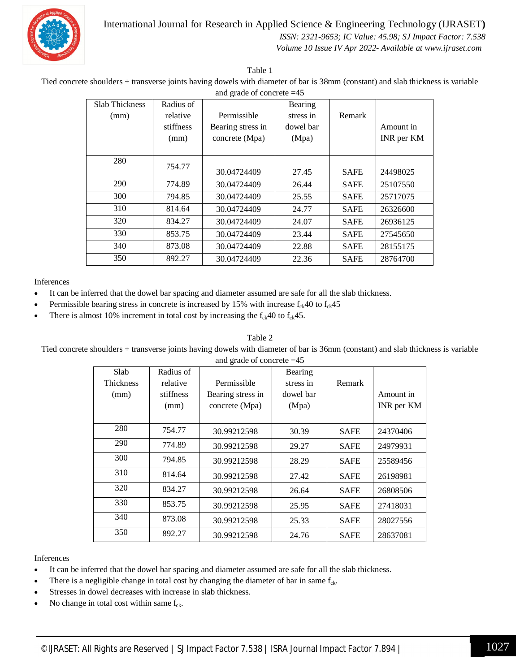



#### *ISSN: 2321-9653; IC Value: 45.98; SJ Impact Factor: 7.538 Volume 10 Issue IV Apr 2022- Available at www.ijraset.com*

Table 1

Tied concrete shoulders + transverse joints having dowels with diameter of bar is 38mm (constant) and slab thickness is variable and grade of concrete =45

| Slab Thickness | Radius of |                   | Bearing   |             |            |
|----------------|-----------|-------------------|-----------|-------------|------------|
| (mm)           | relative  | Permissible       | stress in | Remark      |            |
|                | stiffness | Bearing stress in | dowel bar |             | Amount in  |
|                | (mm)      | concrete (Mpa)    | (Mpa)     |             | INR per KM |
|                |           |                   |           |             |            |
| 280            | 754.77    |                   |           |             |            |
|                |           | 30.04724409       | 27.45     | <b>SAFE</b> | 24498025   |
| 290            | 774.89    | 30.04724409       | 26.44     | <b>SAFE</b> | 25107550   |
| 300            | 794.85    | 30.04724409       | 25.55     | <b>SAFE</b> | 25717075   |
| 310            | 814.64    | 30.04724409       | 24.77     | <b>SAFE</b> | 26326600   |
| 320            | 834.27    | 30.04724409       | 24.07     | <b>SAFE</b> | 26936125   |
| 330            | 853.75    | 30.04724409       | 23.44     | <b>SAFE</b> | 27545650   |
| 340            | 873.08    | 30.04724409       | 22.88     | <b>SAFE</b> | 28155175   |
| 350            | 892.27    | 30.04724409       | 22.36     | <b>SAFE</b> | 28764700   |

#### Inferences

- It can be inferred that the dowel bar spacing and diameter assumed are safe for all the slab thickness.
- Permissible bearing stress in concrete is increased by 15% with increase  $f_{ck}40$  to  $f_{ck}45$
- There is almost 10% increment in total cost by increasing the  $f_{ck}40$  to  $f_{ck}45$ .

#### Table 2

Tied concrete shoulders + transverse joints having dowels with diameter of bar is 36mm (constant) and slab thickness is variable and grade of concrete =45

| Slab      | Radius of |                   | Bearing   |             |           |
|-----------|-----------|-------------------|-----------|-------------|-----------|
| Thickness | relative  | Permissible       | stress in | Remark      |           |
| (mm)      | stiffness | Bearing stress in | dowel bar |             | Amount in |
|           | (mm)      | concrete (Mpa)    | (Mpa)     |             |           |
|           |           |                   |           |             |           |
| 280       | 754.77    | 30.99212598       | 30.39     | <b>SAFE</b> | 24370406  |
| 290       | 774.89    | 30.99212598       | 29.27     | <b>SAFE</b> | 24979931  |
| 300       | 794.85    | 30.99212598       | 28.29     | <b>SAFE</b> | 25589456  |
| 310       | 814.64    | 30.99212598       | 27.42     | <b>SAFE</b> | 26198981  |
| 320       | 834.27    | 30.99212598       | 26.64     | <b>SAFE</b> | 26808506  |
| 330       | 853.75    | 30.99212598       | 25.95     | <b>SAFE</b> | 27418031  |
| 340       | 873.08    | 30.99212598       | 25.33     | <b>SAFE</b> | 28027556  |
| 350       | 892.27    | 30.99212598       | 24.76     | <b>SAFE</b> | 28637081  |

#### Inferences

- It can be inferred that the dowel bar spacing and diameter assumed are safe for all the slab thickness.
- There is a negligible change in total cost by changing the diameter of bar in same  $f_{ck}$ .
- Stresses in dowel decreases with increase in slab thickness.
- No change in total cost within same  $f_{ck}$ .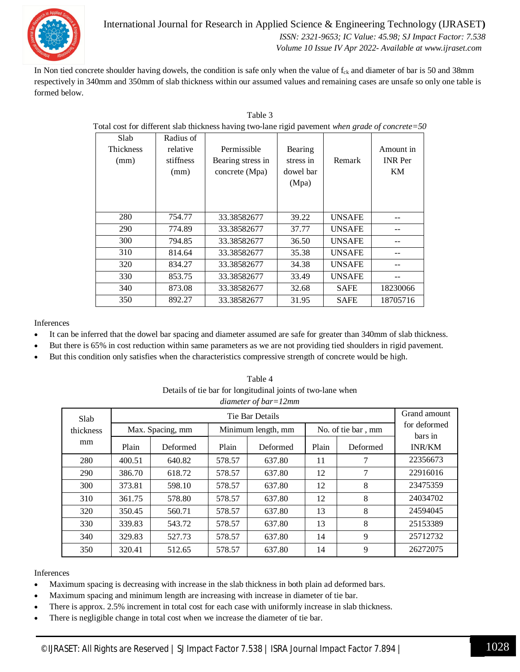

#### International Journal for Research in Applied Science & Engineering Technology (IJRASET**)**  *ISSN: 2321-9653; IC Value: 45.98; SJ Impact Factor: 7.538 Volume 10 Issue IV Apr 2022- Available at www.ijraset.com*

In Non tied concrete shoulder having dowels, the condition is safe only when the value of  $f_{ck}$  and diameter of bar is 50 and 38mm respectively in 340mm and 350mm of slab thickness within our assumed values and remaining cases are unsafe so only one table is formed below.

| Total cost for different slab thickness having two-lane rigid pavement when grade of concrete=50 |                                            |                                                    |                                            |               |                                   |  |  |
|--------------------------------------------------------------------------------------------------|--------------------------------------------|----------------------------------------------------|--------------------------------------------|---------------|-----------------------------------|--|--|
| Slab<br><b>Thickness</b><br>(mm)                                                                 | Radius of<br>relative<br>stiffness<br>(mm) | Permissible<br>Bearing stress in<br>concrete (Mpa) | Bearing<br>stress in<br>dowel bar<br>(Mpa) | Remark        | Amount in<br><b>INR</b> Per<br>KM |  |  |
|                                                                                                  |                                            |                                                    |                                            |               |                                   |  |  |
| 280                                                                                              | 754.77                                     | 33.38582677                                        | 39.22                                      | <b>UNSAFE</b> |                                   |  |  |
| 290                                                                                              | 774.89                                     | 33.38582677                                        | 37.77                                      | <b>UNSAFE</b> |                                   |  |  |
| 300                                                                                              | 794.85                                     | 33.38582677                                        | 36.50                                      | <b>UNSAFE</b> |                                   |  |  |
| 310                                                                                              | 814.64                                     | 33.38582677                                        | 35.38                                      | <b>UNSAFE</b> |                                   |  |  |
| 320                                                                                              | 834.27                                     | 33.38582677                                        | 34.38                                      | <b>UNSAFE</b> |                                   |  |  |
| 330                                                                                              | 853.75                                     | 33.38582677                                        | 33.49                                      | <b>UNSAFE</b> |                                   |  |  |
| 340                                                                                              | 873.08                                     | 33.38582677                                        | 32.68                                      | <b>SAFE</b>   | 18230066                          |  |  |
| 350                                                                                              | 892.27                                     | 33.38582677                                        | 31.95                                      | <b>SAFE</b>   | 18705716                          |  |  |

| Table 3                                                                                          |
|--------------------------------------------------------------------------------------------------|
| Total cost for different slab thickness having two-lane rigid pavement when grade of concrete=50 |

Inferences

- It can be inferred that the dowel bar spacing and diameter assumed are safe for greater than 340mm of slab thickness.
- But there is 65% in cost reduction within same parameters as we are not providing tied shoulders in rigid pavement.
- But this condition only satisfies when the characteristics compressive strength of concrete would be high.

| Slab            | diameter of $bar=12mm$<br>Tie Bar Details |          |                    |          |                    |          | Grand amount             |
|-----------------|-------------------------------------------|----------|--------------------|----------|--------------------|----------|--------------------------|
| thickness<br>mm | Max. Spacing, mm                          |          | Minimum length, mm |          | No. of tie bar, mm |          | for deformed             |
|                 | Plain                                     | Deformed | Plain              | Deformed | Plain              | Deformed | bars in<br><b>INR/KM</b> |
| 280             | 400.51                                    | 640.82   | 578.57             | 637.80   | 11                 | 7        | 22356673                 |
| 290             | 386.70                                    | 618.72   | 578.57             | 637.80   | 12                 | 7        | 22916016                 |
| 300             | 373.81                                    | 598.10   | 578.57             | 637.80   | 12                 | 8        | 23475359                 |
| 310             | 361.75                                    | 578.80   | 578.57             | 637.80   | 12                 | 8        | 24034702                 |
| 320             | 350.45                                    | 560.71   | 578.57             | 637.80   | 13                 | 8        | 24594045                 |
| 330             | 339.83                                    | 543.72   | 578.57             | 637.80   | 13                 | 8        | 25153389                 |
| 340             | 329.83                                    | 527.73   | 578.57             | 637.80   | 14                 | 9        | 25712732                 |
| 350             | 320.41                                    | 512.65   | 578.57             | 637.80   | 14                 | 9        | 26272075                 |

Table 4 Details of tie bar for longitudinal joints of two-lane when

#### Inferences

- Maximum spacing is decreasing with increase in the slab thickness in both plain ad deformed bars.
- Maximum spacing and minimum length are increasing with increase in diameter of tie bar.
- There is approx. 2.5% increment in total cost for each case with uniformly increase in slab thickness.
- There is negligible change in total cost when we increase the diameter of tie bar.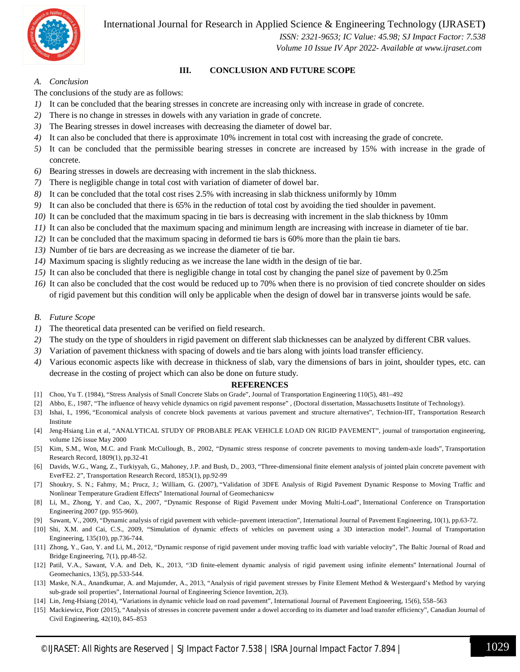

 *ISSN: 2321-9653; IC Value: 45.98; SJ Impact Factor: 7.538*

 *Volume 10 Issue IV Apr 2022- Available at www.ijraset.com*

#### **III. CONCLUSION AND FUTURE SCOPE**

#### *A. Conclusion*

The conclusions of the study are as follows:

- *1)* It can be concluded that the bearing stresses in concrete are increasing only with increase in grade of concrete.
- *2)* There is no change in stresses in dowels with any variation in grade of concrete.
- *3)* The Bearing stresses in dowel increases with decreasing the diameter of dowel bar.
- *4)* It can also be concluded that there is approximate 10% increment in total cost with increasing the grade of concrete.
- *5)* It can be concluded that the permissible bearing stresses in concrete are increased by 15% with increase in the grade of concrete.
- *6)* Bearing stresses in dowels are decreasing with increment in the slab thickness.
- *7)* There is negligible change in total cost with variation of diameter of dowel bar.
- *8)* It can be concluded that the total cost rises 2.5% with increasing in slab thickness uniformly by 10mm
- *9)* It can also be concluded that there is 65% in the reduction of total cost by avoiding the tied shoulder in pavement.
- *10)* It can be concluded that the maximum spacing in tie bars is decreasing with increment in the slab thickness by 10mm
- *11)* It can also be concluded that the maximum spacing and minimum length are increasing with increase in diameter of tie bar.
- *12)* It can be concluded that the maximum spacing in deformed tie bars is 60% more than the plain tie bars.
- *13)* Number of tie bars are decreasing as we increase the diameter of tie bar.
- *14)* Maximum spacing is slightly reducing as we increase the lane width in the design of tie bar.
- *15)* It can also be concluded that there is negligible change in total cost by changing the panel size of pavement by 0.25m
- *16)* It can also be concluded that the cost would be reduced up to 70% when there is no provision of tied concrete shoulder on sides of rigid pavement but this condition will only be applicable when the design of dowel bar in transverse joints would be safe.

#### *B. Future Scope*

- *1)* The theoretical data presented can be verified on field research.
- *2)* The study on the type of shoulders in rigid pavement on different slab thicknesses can be analyzed by different CBR values.
- *3)* Variation of pavement thickness with spacing of dowels and tie bars along with joints load transfer efficiency.
- *4)* Various economic aspects like with decrease in thickness of slab, vary the dimensions of bars in joint, shoulder types, etc. can decrease in the costing of project which can also be done on future study.

#### **REFERENCES**

- [1] Chou, Yu T. (1984), "Stress Analysis of Small Concrete Slabs on Grade", Journal of Transportation Engineering 110(5), 481–492
- [2] Abbo, E., 1987, "The influence of heavy vehicle dynamics on rigid pavement response" , (Doctoral dissertation, Massachusetts Institute of Technology).
- [3] Ishai, I., 1996, "Economical analysis of concrete block pavements at various pavement and structure alternatives", Technion-IIT, Transportation Research Institute
- [4] Jeng-Hsiang Lin et al, "ANALYTICAL STUDY OF PROBABLE PEAK VEHICLE LOAD ON RIGID PAVEMENT", journal of transportation engineering, volume 126 issue May 2000
- [5] Kim, S.M., Won, M.C. and Frank McCullough, B., 2002, "Dynamic stress response of concrete pavements to moving tandem-axle loads", Transportation Research Record, 1809(1), pp.32-41
- [6] Davids, W.G., Wang, Z., Turkiyyah, G., Mahoney, J.P. and Bush, D., 2003, "Three-dimensional finite element analysis of jointed plain concrete pavement with EverFE2. 2", Transportation Research Record, 1853(1), pp.92-99
- [7] Shoukry, S. N.; Fahmy, M.; Prucz, J.; William, G. (2007), "Validation of 3DFE Analysis of Rigid Pavement Dynamic Response to Moving Traffic and Nonlinear Temperature Gradient Effects" International Journal of Geomechanicsw
- [8] Li, M., Zhong, Y. and Cao, X., 2007, "Dynamic Response of Rigid Pavement under Moving Multi-Load", International Conference on Transportation Engineering 2007 (pp. 955-960).
- [9] Sawant, V., 2009, "Dynamic analysis of rigid pavement with vehicle–pavement interaction", International Journal of Pavement Engineering, 10(1), pp.63-72.
- [10] Shi, X.M. and Cai, C.S., 2009, "Simulation of dynamic effects of vehicles on pavement using a 3D interaction model". Journal of Transportation Engineering, 135(10), pp.736-744.
- [11] Zhong, Y., Gao, Y. and Li, M., 2012, "Dynamic response of rigid pavement under moving traffic load with variable velocity", The Baltic Journal of Road and Bridge Engineering, 7(1), pp.48-52.
- [12] Patil, V.A., Sawant, V.A. and Deb, K., 2013, "3D finite-element dynamic analysis of rigid pavement using infinite elements" International Journal of Geomechanics, 13(5), pp.533-544.
- [13] Maske, N.A., Anandkumar, A. and Majumder, A., 2013, "Analysis of rigid pavement stresses by Finite Element Method & Westergaard's Method by varying sub-grade soil properties", International Journal of Engineering Science Invention, 2(3).
- [14] Lin, Jeng-Hsiang (2014), "Variations in dynamic vehicle load on road pavement", International Journal of Pavement Engineering, 15(6), 558–563
- [15] Mackiewicz, Piotr (2015), "Analysis of stresses in concrete pavement under a dowel according to its diameter and load transfer efficiency", Canadian Journal of Civil Engineering, 42(10), 845–853